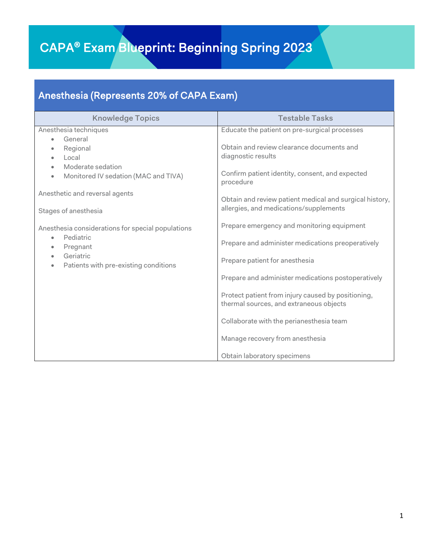## CAPA® Exam Blueprint: Beginning Spring 2023

## Anesthesia (Represents 20% of CAPA Exam)

| <b>Knowledge Topics</b>                                               | <b>Testable Tasks</b>                                                                             |
|-----------------------------------------------------------------------|---------------------------------------------------------------------------------------------------|
| Anesthesia techniques<br>General                                      | Educate the patient on pre-surgical processes                                                     |
| $\bullet$<br>Regional<br>۰<br>Local<br>$\bullet$<br>Moderate sedation | Obtain and review clearance documents and<br>diagnostic results                                   |
| Monitored IV sedation (MAC and TIVA)<br>$\bullet$                     | Confirm patient identity, consent, and expected<br>procedure                                      |
| Anesthetic and reversal agents                                        | Obtain and review patient medical and surgical history,<br>allergies, and medications/supplements |
| Stages of anesthesia                                                  |                                                                                                   |
| Anesthesia considerations for special populations                     | Prepare emergency and monitoring equipment                                                        |
| Pediatric<br>$\bullet$<br>Pregnant<br>$\bullet$                       | Prepare and administer medications preoperatively                                                 |
| Geriatric<br>Patients with pre-existing conditions                    | Prepare patient for anesthesia                                                                    |
|                                                                       | Prepare and administer medications postoperatively                                                |
|                                                                       | Protect patient from injury caused by positioning,<br>thermal sources, and extraneous objects     |
|                                                                       | Collaborate with the perianesthesia team                                                          |
|                                                                       | Manage recovery from anesthesia                                                                   |
|                                                                       | Obtain laboratory specimens                                                                       |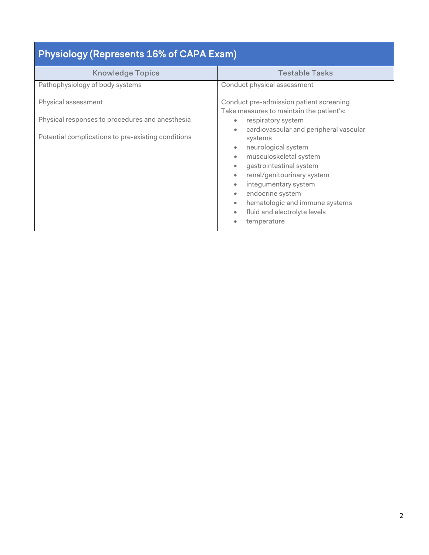| <b>Physiology (Represents 16% of CAPA Exam)</b>        |                                                                                                                                                                                                                                                                                                                                        |  |
|--------------------------------------------------------|----------------------------------------------------------------------------------------------------------------------------------------------------------------------------------------------------------------------------------------------------------------------------------------------------------------------------------------|--|
| <b>Knowledge Topics</b>                                | <b>Testable Tasks</b>                                                                                                                                                                                                                                                                                                                  |  |
| Pathophysiology of body systems<br>Physical assessment | Conduct physical assessment<br>Conduct pre-admission patient screening                                                                                                                                                                                                                                                                 |  |
| Physical responses to procedures and anesthesia        | Take measures to maintain the patient's:<br>respiratory system<br>۰                                                                                                                                                                                                                                                                    |  |
| Potential complications to pre-existing conditions     | cardiovascular and peripheral vascular<br>systems<br>neurological system<br>۰<br>musculoskeletal system<br>۰<br>gastrointestinal system<br>renal/genitourinary system<br>$\bullet$<br>integumentary system<br>۰<br>endocrine system<br>$\bullet$<br>hematologic and immune systems<br>۰<br>fluid and electrolyte levels<br>temperature |  |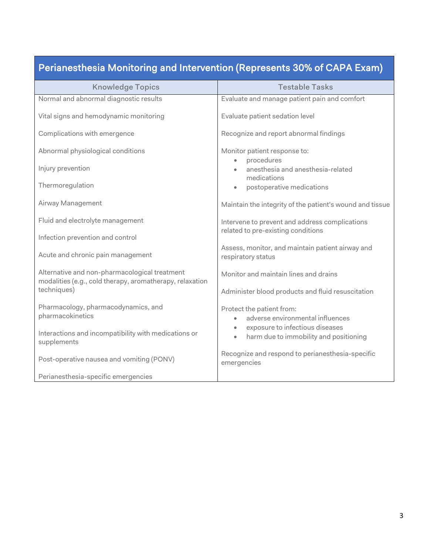|  | Perianesthesia Monitoring and Intervention (Represents 30% of CAPA Exam) |
|--|--------------------------------------------------------------------------|
|--|--------------------------------------------------------------------------|

| <b>Knowledge Topics</b>                                                                                   | <b>Testable Tasks</b>                                                                       |
|-----------------------------------------------------------------------------------------------------------|---------------------------------------------------------------------------------------------|
| Normal and abnormal diagnostic results                                                                    | Evaluate and manage patient pain and comfort                                                |
| Vital signs and hemodynamic monitoring                                                                    | Evaluate patient sedation level                                                             |
| Complications with emergence                                                                              | Recognize and report abnormal findings                                                      |
| Abnormal physiological conditions                                                                         | Monitor patient response to:                                                                |
| Injury prevention                                                                                         | procedures<br>$\bullet$<br>anesthesia and anesthesia-related<br>medications                 |
| Thermoregulation                                                                                          | postoperative medications<br>$\bullet$                                                      |
| Airway Management                                                                                         | Maintain the integrity of the patient's wound and tissue                                    |
| Fluid and electrolyte management                                                                          | Intervene to prevent and address complications                                              |
| Infection prevention and control                                                                          | related to pre-existing conditions                                                          |
| Acute and chronic pain management                                                                         | Assess, monitor, and maintain patient airway and<br>respiratory status                      |
| Alternative and non-pharmacological treatment<br>modalities (e.g., cold therapy, aromatherapy, relaxation | Monitor and maintain lines and drains                                                       |
| techniques)                                                                                               | Administer blood products and fluid resuscitation                                           |
| Pharmacology, pharmacodynamics, and<br>pharmacokinetics                                                   | Protect the patient from:<br>adverse environmental influences                               |
| Interactions and incompatibility with medications or<br>supplements                                       | exposure to infectious diseases<br>٠<br>harm due to immobility and positioning<br>$\bullet$ |
| Post-operative nausea and vomiting (PONV)                                                                 | Recognize and respond to perianesthesia-specific<br>emergencies                             |
| Perianesthesia-specific emergencies                                                                       |                                                                                             |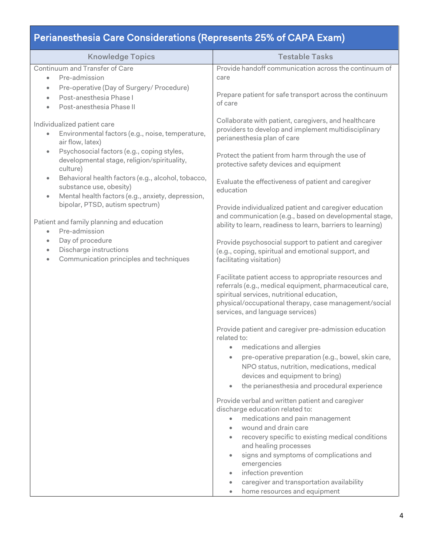## Perianesthesia Care Considerations (Represents 25% of CAPA Exam)

| <b>Knowledge Topics</b>                                                                                                                                                                                                                                                                                                                                                                                                                                                                                                                                                                                                                              | <b>Testable Tasks</b>                                                                                                                                                                                                                                                                                                                                                                                                                |
|------------------------------------------------------------------------------------------------------------------------------------------------------------------------------------------------------------------------------------------------------------------------------------------------------------------------------------------------------------------------------------------------------------------------------------------------------------------------------------------------------------------------------------------------------------------------------------------------------------------------------------------------------|--------------------------------------------------------------------------------------------------------------------------------------------------------------------------------------------------------------------------------------------------------------------------------------------------------------------------------------------------------------------------------------------------------------------------------------|
| Continuum and Transfer of Care<br>Pre-admission<br>$\bullet$                                                                                                                                                                                                                                                                                                                                                                                                                                                                                                                                                                                         | Provide handoff communication across the continuum of<br>care                                                                                                                                                                                                                                                                                                                                                                        |
| Pre-operative (Day of Surgery/ Procedure)<br>$\bullet$<br>Post-anesthesia Phase I<br>$\bullet$<br>Post-anesthesia Phase II                                                                                                                                                                                                                                                                                                                                                                                                                                                                                                                           | Prepare patient for safe transport across the continuum<br>of care                                                                                                                                                                                                                                                                                                                                                                   |
| Individualized patient care<br>Environmental factors (e.g., noise, temperature,<br>$\bullet$<br>air flow, latex)<br>Psychosocial factors (e.g., coping styles,<br>$\bullet$<br>developmental stage, religion/spirituality,<br>culture)<br>Behavioral health factors (e.g., alcohol, tobacco,<br>$\bullet$<br>substance use, obesity)<br>Mental health factors (e.g., anxiety, depression,<br>$\bullet$<br>bipolar, PTSD, autism spectrum)<br>Patient and family planning and education<br>Pre-admission<br>$\bullet$<br>Day of procedure<br>$\bullet$<br>Discharge instructions<br>$\bullet$<br>Communication principles and techniques<br>$\bullet$ | Collaborate with patient, caregivers, and healthcare<br>providers to develop and implement multidisciplinary<br>perianesthesia plan of care<br>Protect the patient from harm through the use of<br>protective safety devices and equipment<br>Evaluate the effectiveness of patient and caregiver<br>education<br>Provide individualized patient and caregiver education<br>and communication (e.g., based on developmental stage,   |
|                                                                                                                                                                                                                                                                                                                                                                                                                                                                                                                                                                                                                                                      | ability to learn, readiness to learn, barriers to learning)<br>Provide psychosocial support to patient and caregiver<br>(e.g., coping, spiritual and emotional support, and<br>facilitating visitation)<br>Facilitate patient access to appropriate resources and<br>referrals (e.g., medical equipment, pharmaceutical care,<br>spiritual services, nutritional education,<br>physical/occupational therapy, case management/social |
|                                                                                                                                                                                                                                                                                                                                                                                                                                                                                                                                                                                                                                                      | services, and language services)<br>Provide patient and caregiver pre-admission education<br>related to:<br>medications and allergies<br>$\bullet$<br>pre-operative preparation (e.g., bowel, skin care,<br>NPO status, nutrition, medications, medical<br>devices and equipment to bring)<br>the perianesthesia and procedural experience<br>$\bullet$                                                                              |
|                                                                                                                                                                                                                                                                                                                                                                                                                                                                                                                                                                                                                                                      | Provide verbal and written patient and caregiver<br>discharge education related to:<br>medications and pain management<br>$\bullet$<br>wound and drain care<br>recovery specific to existing medical conditions<br>and healing processes<br>signs and symptoms of complications and<br>$\bullet$<br>emergencies<br>infection prevention<br>۰<br>caregiver and transportation availability<br>۰<br>home resources and equipment       |